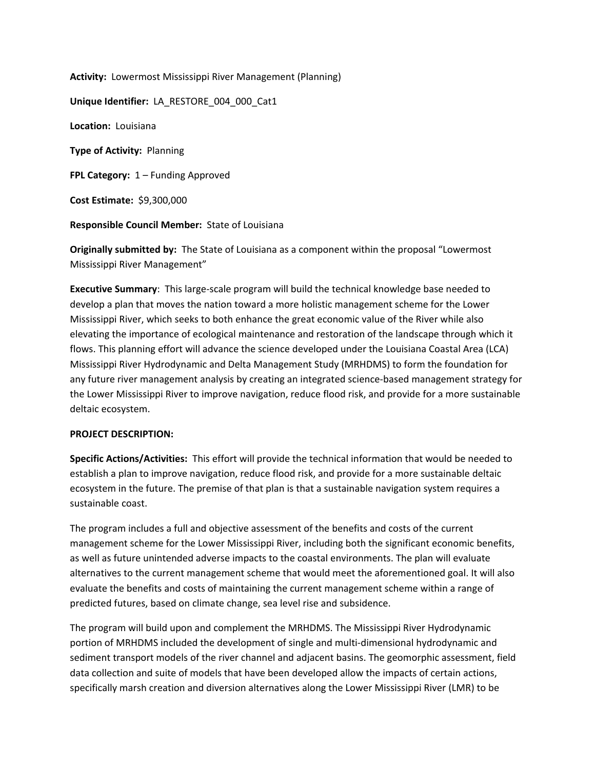**Activity:** Lowermost Mississippi River Management (Planning)

**Unique Identifier:** LA\_RESTORE\_004\_000\_Cat1

**Location:** Louisiana

**Type of Activity:** Planning

**FPL Category:** 1 – Funding Approved

**Cost Estimate:** \$9,300,000

**Responsible Council Member:** State of Louisiana

**Originally submitted by:** The State of Louisiana as a component within the proposal "Lowermost Mississippi River Management"

**Executive Summary**: This large-scale program will build the technical knowledge base needed to develop a plan that moves the nation toward a more holistic management scheme for the Lower Mississippi River, which seeks to both enhance the great economic value of the River while also elevating the importance of ecological maintenance and restoration of the landscape through which it flows. This planning effort will advance the science developed under the Louisiana Coastal Area (LCA) Mississippi River Hydrodynamic and Delta Management Study (MRHDMS) to form the foundation for any future river management analysis by creating an integrated science-based management strategy for the Lower Mississippi River to improve navigation, reduce flood risk, and provide for a more sustainable deltaic ecosystem.

## **PROJECT DESCRIPTION:**

**Specific Actions/Activities:** This effort will provide the technical information that would be needed to establish a plan to improve navigation, reduce flood risk, and provide for a more sustainable deltaic ecosystem in the future. The premise of that plan is that a sustainable navigation system requires a sustainable coast.

The program includes a full and objective assessment of the benefits and costs of the current management scheme for the Lower Mississippi River, including both the significant economic benefits, as well as future unintended adverse impacts to the coastal environments. The plan will evaluate alternatives to the current management scheme that would meet the aforementioned goal. It will also evaluate the benefits and costs of maintaining the current management scheme within a range of predicted futures, based on climate change, sea level rise and subsidence.

The program will build upon and complement the MRHDMS. The Mississippi River Hydrodynamic portion of MRHDMS included the development of single and multi-dimensional hydrodynamic and sediment transport models of the river channel and adjacent basins. The geomorphic assessment, field data collection and suite of models that have been developed allow the impacts of certain actions, specifically marsh creation and diversion alternatives along the Lower Mississippi River (LMR) to be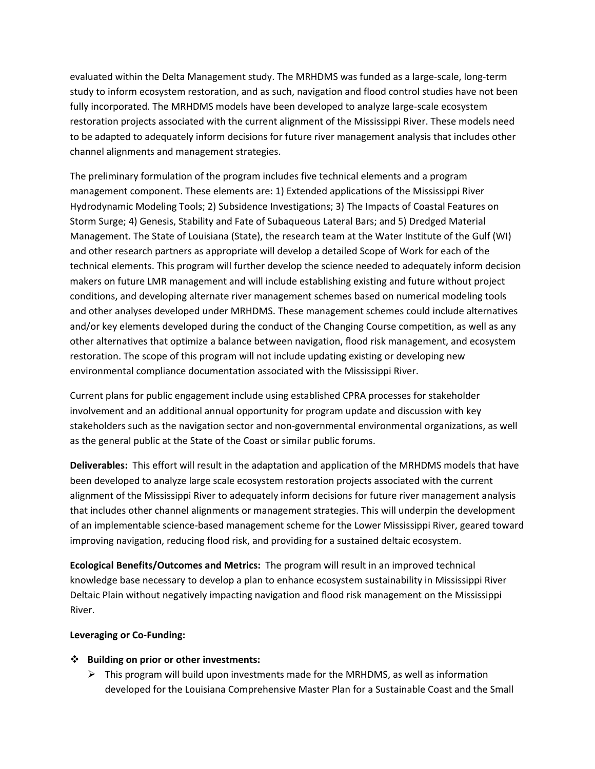evaluated within the Delta Management study. The MRHDMS was funded as a large-scale, long-term study to inform ecosystem restoration, and as such, navigation and flood control studies have not been fully incorporated. The MRHDMS models have been developed to analyze large-scale ecosystem restoration projects associated with the current alignment of the Mississippi River. These models need to be adapted to adequately inform decisions for future river management analysis that includes other channel alignments and management strategies.

The preliminary formulation of the program includes five technical elements and a program management component. These elements are: 1) Extended applications of the Mississippi River Hydrodynamic Modeling Tools; 2) Subsidence Investigations; 3) The Impacts of Coastal Features on Storm Surge; 4) Genesis, Stability and Fate of Subaqueous Lateral Bars; and 5) Dredged Material Management. The State of Louisiana (State), the research team at the Water Institute of the Gulf (WI) and other research partners as appropriate will develop a detailed Scope of Work for each of the technical elements. This program will further develop the science needed to adequately inform decision makers on future LMR management and will include establishing existing and future without project conditions, and developing alternate river management schemes based on numerical modeling tools and other analyses developed under MRHDMS. These management schemes could include alternatives and/or key elements developed during the conduct of the Changing Course competition, as well as any other alternatives that optimize a balance between navigation, flood risk management, and ecosystem restoration. The scope of this program will not include updating existing or developing new environmental compliance documentation associated with the Mississippi River.

Current plans for public engagement include using established CPRA processes for stakeholder involvement and an additional annual opportunity for program update and discussion with key stakeholders such as the navigation sector and non-governmental environmental organizations, as well as the general public at the State of the Coast or similar public forums.

**Deliverables:** This effort will result in the adaptation and application of the MRHDMS models that have been developed to analyze large scale ecosystem restoration projects associated with the current alignment of the Mississippi River to adequately inform decisions for future river management analysis that includes other channel alignments or management strategies. This will underpin the development of an implementable science-based management scheme for the Lower Mississippi River, geared toward improving navigation, reducing flood risk, and providing for a sustained deltaic ecosystem.

**Ecological Benefits/Outcomes and Metrics:** The program will result in an improved technical knowledge base necessary to develop a plan to enhance ecosystem sustainability in Mississippi River Deltaic Plain without negatively impacting navigation and flood risk management on the Mississippi River.

## **Leveraging or Co-Funding:**

## **Building on prior or other investments:**

 $\triangleright$  This program will build upon investments made for the MRHDMS, as well as information developed for the Louisiana Comprehensive Master Plan for a Sustainable Coast and the Small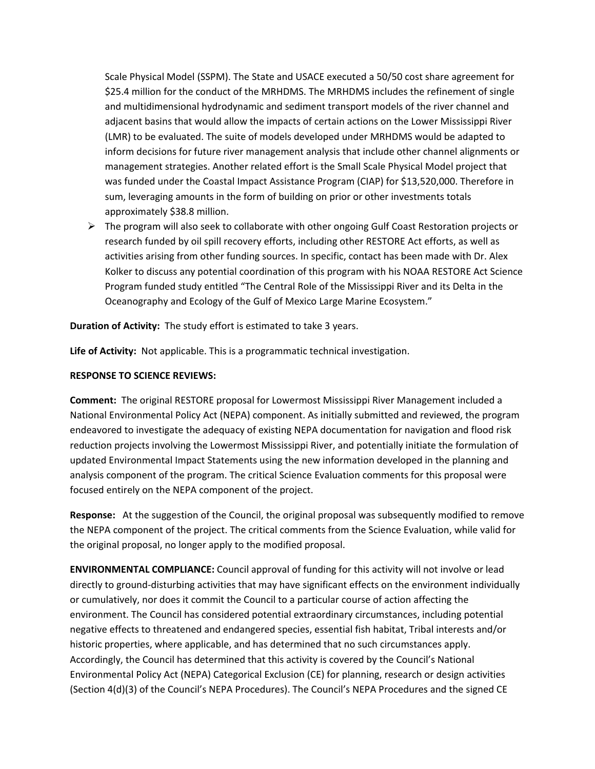Scale Physical Model (SSPM). The State and USACE executed a 50/50 cost share agreement for \$25.4 million for the conduct of the MRHDMS. The MRHDMS includes the refinement of single and multidimensional hydrodynamic and sediment transport models of the river channel and adjacent basins that would allow the impacts of certain actions on the Lower Mississippi River (LMR) to be evaluated. The suite of models developed under MRHDMS would be adapted to inform decisions for future river management analysis that include other channel alignments or management strategies. Another related effort is the Small Scale Physical Model project that was funded under the Coastal Impact Assistance Program (CIAP) for \$13,520,000. Therefore in sum, leveraging amounts in the form of building on prior or other investments totals approximately \$38.8 million.

 $\triangleright$  The program will also seek to collaborate with other ongoing Gulf Coast Restoration projects or research funded by oil spill recovery efforts, including other RESTORE Act efforts, as well as activities arising from other funding sources. In specific, contact has been made with Dr. Alex Kolker to discuss any potential coordination of this program with his NOAA RESTORE Act Science Program funded study entitled "The Central Role of the Mississippi River and its Delta in the Oceanography and Ecology of the Gulf of Mexico Large Marine Ecosystem."

**Duration of Activity:** The study effort is estimated to take 3 years.

**Life of Activity:** Not applicable. This is a programmatic technical investigation.

## **RESPONSE TO SCIENCE REVIEWS:**

**Comment:** The original RESTORE proposal for Lowermost Mississippi River Management included a National Environmental Policy Act (NEPA) component. As initially submitted and reviewed, the program endeavored to investigate the adequacy of existing NEPA documentation for navigation and flood risk reduction projects involving the Lowermost Mississippi River, and potentially initiate the formulation of updated Environmental Impact Statements using the new information developed in the planning and analysis component of the program. The critical Science Evaluation comments for this proposal were focused entirely on the NEPA component of the project.

**Response:** At the suggestion of the Council, the original proposal was subsequently modified to remove the NEPA component of the project. The critical comments from the Science Evaluation, while valid for the original proposal, no longer apply to the modified proposal.

**ENVIRONMENTAL COMPLIANCE:** Council approval of funding for this activity will not involve or lead directly to ground-disturbing activities that may have significant effects on the environment individually or cumulatively, nor does it commit the Council to a particular course of action affecting the environment. The Council has considered potential extraordinary circumstances, including potential negative effects to threatened and endangered species, essential fish habitat, Tribal interests and/or historic properties, where applicable, and has determined that no such circumstances apply. Accordingly, the Council has determined that this activity is covered by the Council's National Environmental Policy Act (NEPA) Categorical Exclusion (CE) for planning, research or design activities (Section 4(d)(3) of the Council's NEPA Procedures). The Council's NEPA Procedures and the signed CE